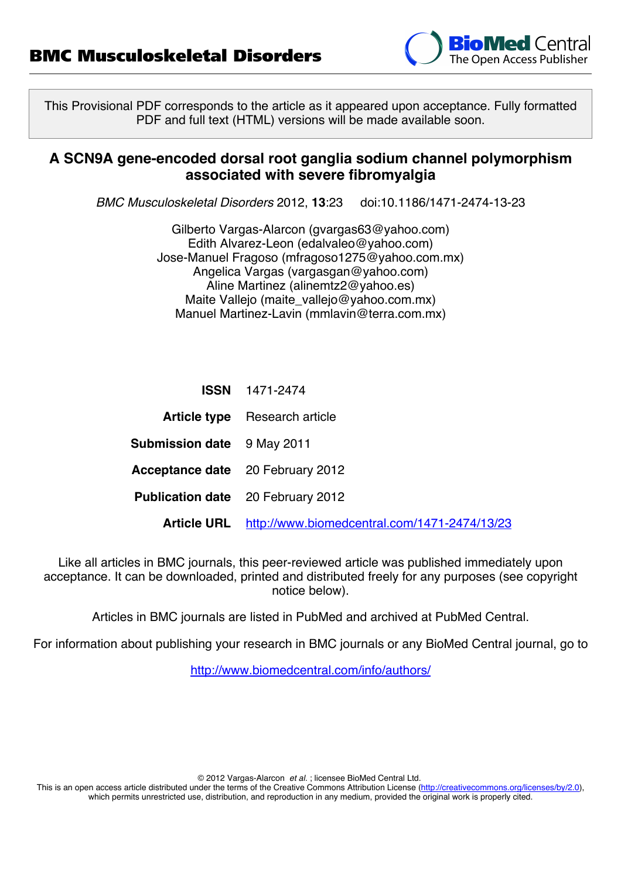

This Provisional PDF corresponds to the article as it appeared upon acceptance. Fully formatted PDF and full text (HTML) versions will be made available soon.

#### **A SCN9A gene-encoded dorsal root ganglia sodium channel polymorphism associated with severe fibromyalgia**

*BMC Musculoskeletal Disorders* 2012, **13**:23 doi:10.1186/1471-2474-13-23

Gilberto Vargas-Alarcon ([gvargas63@yahoo.com\)](mailto:gvargas63@yahoo.com) Edith Alvarez-Leon ([edalvaleo@yahoo.com](mailto:edalvaleo@yahoo.com)) Jose-Manuel Fragoso ([mfragoso1275@yahoo.com.mx\)](mailto:mfragoso1275@yahoo.com.mx) Angelica Vargas ([vargasgan@yahoo.com](mailto:vargasgan@yahoo.com)) Aline Martinez [\(alinemtz2@yahoo.es](mailto:alinemtz2@yahoo.es)) Maite Vallejo ([maite\\_vallejo@yahoo.com.mx\)](mailto:maite_vallejo@yahoo.com.mx) Manuel Martinez-Lavin ([mmlavin@terra.com.mx](mailto:mmlavin@terra.com.mx))

| <b>ISSN</b> 1471-2474                                           |  |
|-----------------------------------------------------------------|--|
| <b>Article type</b> Research article                            |  |
| <b>Submission date</b> 9 May 2011                               |  |
| <b>Acceptance date</b> 20 February 2012                         |  |
| <b>Publication date</b> 20 February 2012                        |  |
| <b>Article URL</b> http://www.biomedcentral.com/1471-2474/13/23 |  |

Like all articles in BMC journals, this peer-reviewed article was published immediately upon acceptance. It can be downloaded, printed and distributed freely for any purposes (see copyright notice below).

Articles in BMC journals are listed in PubMed and archived at PubMed Central.

For information about publishing your research in BMC journals or any BioMed Central journal, go to

<http://www.biomedcentral.com/info/authors/>

© 2012 Vargas-Alarcon *et al.* ; licensee BioMed Central Ltd.

This is an open access article distributed under the terms of the Creative Commons Attribution License [\(http://creativecommons.org/licenses/by/2.0](http://creativecommons.org/licenses/by/2.0)), which permits unrestricted use, distribution, and reproduction in any medium, provided the original work is properly cited.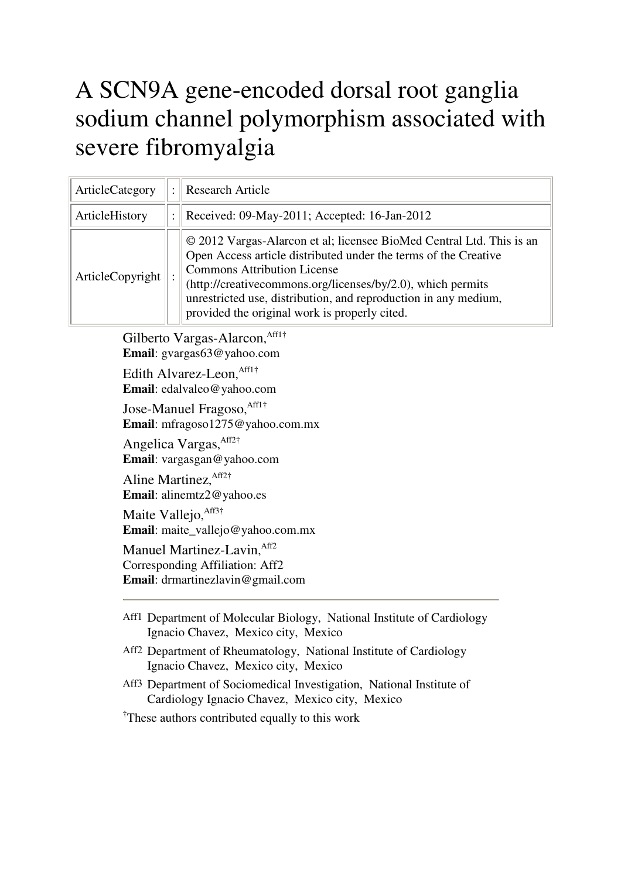# A SCN9A gene-encoded dorsal root ganglia sodium channel polymorphism associated with severe fibromyalgia

| ArticleCategory  | <b>Research Article</b>                                                                                                                                                                                                                                                                                                                                          |  |  |
|------------------|------------------------------------------------------------------------------------------------------------------------------------------------------------------------------------------------------------------------------------------------------------------------------------------------------------------------------------------------------------------|--|--|
| ArticleHistory   | Received: 09-May-2011; Accepted: 16-Jan-2012                                                                                                                                                                                                                                                                                                                     |  |  |
| ArticleCopyright | © 2012 Vargas-Alarcon et al; licensee BioMed Central Ltd. This is an<br>Open Access article distributed under the terms of the Creative<br><b>Commons Attribution License</b><br>(http://creativecommons.org/licenses/by/2.0), which permits<br>unrestricted use, distribution, and reproduction in any medium,<br>provided the original work is properly cited. |  |  |

Gilberto Vargas-Alarcon, Aff1† **Email**: gvargas63@yahoo.com

Edith Alvarez-Leon, Aff1† **Email**: edalvaleo@yahoo.com

Jose-Manuel Fragoso, Aff1† **Email**: mfragoso1275@yahoo.com.mx

Angelica Vargas, Aff2† **Email**: vargasgan@yahoo.com

Aline Martinez, Aff2†

**Email**: alinemtz2@yahoo.es

Maite Vallejo, Aff<sup>3†</sup> **Email**: maite\_vallejo@yahoo.com.mx

Manuel Martinez-Lavin, Aff2 Corresponding Affiliation: Aff2 **Email**: drmartinezlavin@gmail.com

- Aff1 Department of Molecular Biology, National Institute of Cardiology Ignacio Chavez, Mexico city, Mexico
- Aff2 Department of Rheumatology, National Institute of Cardiology Ignacio Chavez, Mexico city, Mexico
- Aff3 Department of Sociomedical Investigation, National Institute of Cardiology Ignacio Chavez, Mexico city, Mexico

† These authors contributed equally to this work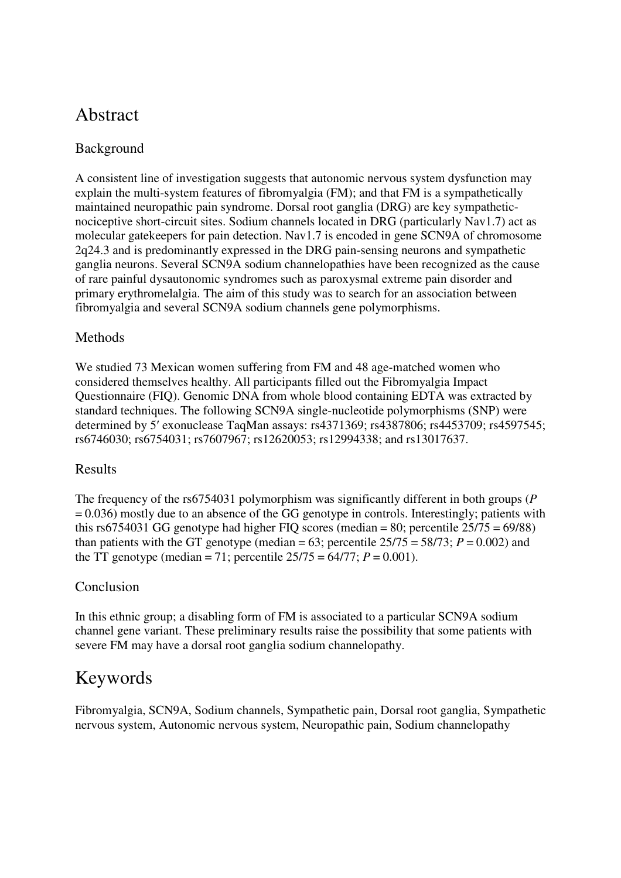### Abstract

### Background

A consistent line of investigation suggests that autonomic nervous system dysfunction may explain the multi-system features of fibromyalgia (FM); and that FM is a sympathetically maintained neuropathic pain syndrome. Dorsal root ganglia (DRG) are key sympatheticnociceptive short-circuit sites. Sodium channels located in DRG (particularly Nav1.7) act as molecular gatekeepers for pain detection. Nav1.7 is encoded in gene SCN9A of chromosome 2q24.3 and is predominantly expressed in the DRG pain-sensing neurons and sympathetic ganglia neurons. Several SCN9A sodium channelopathies have been recognized as the cause of rare painful dysautonomic syndromes such as paroxysmal extreme pain disorder and primary erythromelalgia. The aim of this study was to search for an association between fibromyalgia and several SCN9A sodium channels gene polymorphisms.

#### **Methods**

We studied 73 Mexican women suffering from FM and 48 age-matched women who considered themselves healthy. All participants filled out the Fibromyalgia Impact Questionnaire (FIQ). Genomic DNA from whole blood containing EDTA was extracted by standard techniques. The following SCN9A single-nucleotide polymorphisms (SNP) were determined by 5′ exonuclease TaqMan assays: rs4371369; rs4387806; rs4453709; rs4597545; rs6746030; rs6754031; rs7607967; rs12620053; rs12994338; and rs13017637.

#### Results

The frequency of the rs6754031 polymorphism was significantly different in both groups (*P*  $= 0.036$ ) mostly due to an absence of the GG genotype in controls. Interestingly; patients with this rs6754031 GG genotype had higher FIQ scores (median = 80; percentile  $25/75 = 69/88$ ) than patients with the GT genotype (median =  $63$ ; percentile  $25/75 = 58/73$ ;  $P = 0.002$ ) and the TT genotype (median = 71; percentile  $25/75 = 64/77$ ;  $P = 0.001$ ).

#### Conclusion

In this ethnic group; a disabling form of FM is associated to a particular SCN9A sodium channel gene variant. These preliminary results raise the possibility that some patients with severe FM may have a dorsal root ganglia sodium channelopathy.

### Keywords

Fibromyalgia, SCN9A, Sodium channels, Sympathetic pain, Dorsal root ganglia, Sympathetic nervous system, Autonomic nervous system, Neuropathic pain, Sodium channelopathy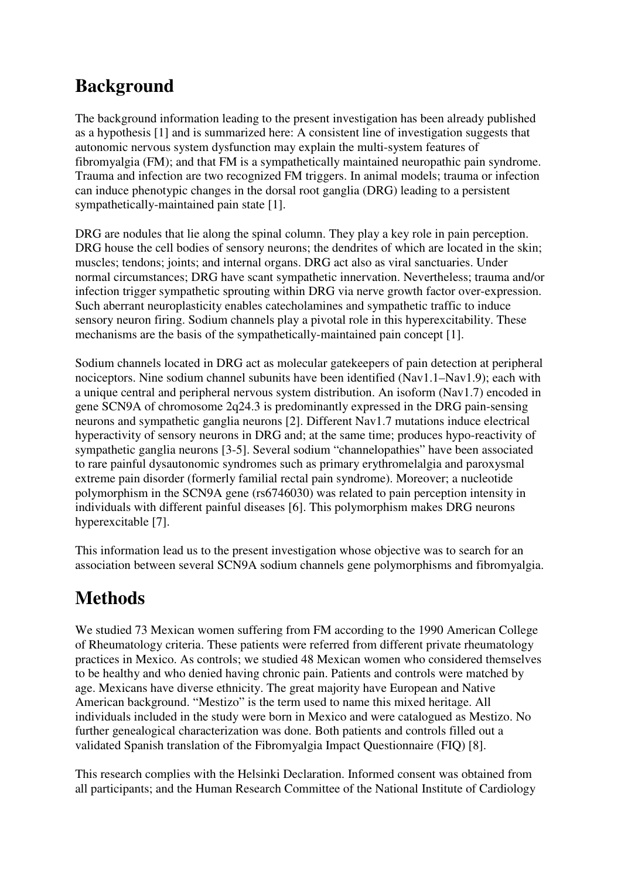# **Background**

The background information leading to the present investigation has been already published as a hypothesis [1] and is summarized here: A consistent line of investigation suggests that autonomic nervous system dysfunction may explain the multi-system features of fibromyalgia (FM); and that FM is a sympathetically maintained neuropathic pain syndrome. Trauma and infection are two recognized FM triggers. In animal models; trauma or infection can induce phenotypic changes in the dorsal root ganglia (DRG) leading to a persistent sympathetically-maintained pain state [1].

DRG are nodules that lie along the spinal column. They play a key role in pain perception. DRG house the cell bodies of sensory neurons; the dendrites of which are located in the skin; muscles; tendons; joints; and internal organs. DRG act also as viral sanctuaries. Under normal circumstances; DRG have scant sympathetic innervation. Nevertheless; trauma and/or infection trigger sympathetic sprouting within DRG via nerve growth factor over-expression. Such aberrant neuroplasticity enables catecholamines and sympathetic traffic to induce sensory neuron firing. Sodium channels play a pivotal role in this hyperexcitability. These mechanisms are the basis of the sympathetically-maintained pain concept [1].

Sodium channels located in DRG act as molecular gatekeepers of pain detection at peripheral nociceptors. Nine sodium channel subunits have been identified (Nav1.1–Nav1.9); each with a unique central and peripheral nervous system distribution. An isoform (Nav1.7) encoded in gene SCN9A of chromosome 2q24.3 is predominantly expressed in the DRG pain-sensing neurons and sympathetic ganglia neurons [2]. Different Nav1.7 mutations induce electrical hyperactivity of sensory neurons in DRG and; at the same time; produces hypo-reactivity of sympathetic ganglia neurons [3-5]. Several sodium "channelopathies" have been associated to rare painful dysautonomic syndromes such as primary erythromelalgia and paroxysmal extreme pain disorder (formerly familial rectal pain syndrome). Moreover; a nucleotide polymorphism in the SCN9A gene (rs6746030) was related to pain perception intensity in individuals with different painful diseases [6]. This polymorphism makes DRG neurons hyperexcitable [7].

This information lead us to the present investigation whose objective was to search for an association between several SCN9A sodium channels gene polymorphisms and fibromyalgia.

# **Methods**

We studied 73 Mexican women suffering from FM according to the 1990 American College of Rheumatology criteria. These patients were referred from different private rheumatology practices in Mexico. As controls; we studied 48 Mexican women who considered themselves to be healthy and who denied having chronic pain. Patients and controls were matched by age. Mexicans have diverse ethnicity. The great majority have European and Native American background. "Mestizo" is the term used to name this mixed heritage. All individuals included in the study were born in Mexico and were catalogued as Mestizo. No further genealogical characterization was done. Both patients and controls filled out a validated Spanish translation of the Fibromyalgia Impact Questionnaire (FIQ) [8].

This research complies with the Helsinki Declaration. Informed consent was obtained from all participants; and the Human Research Committee of the National Institute of Cardiology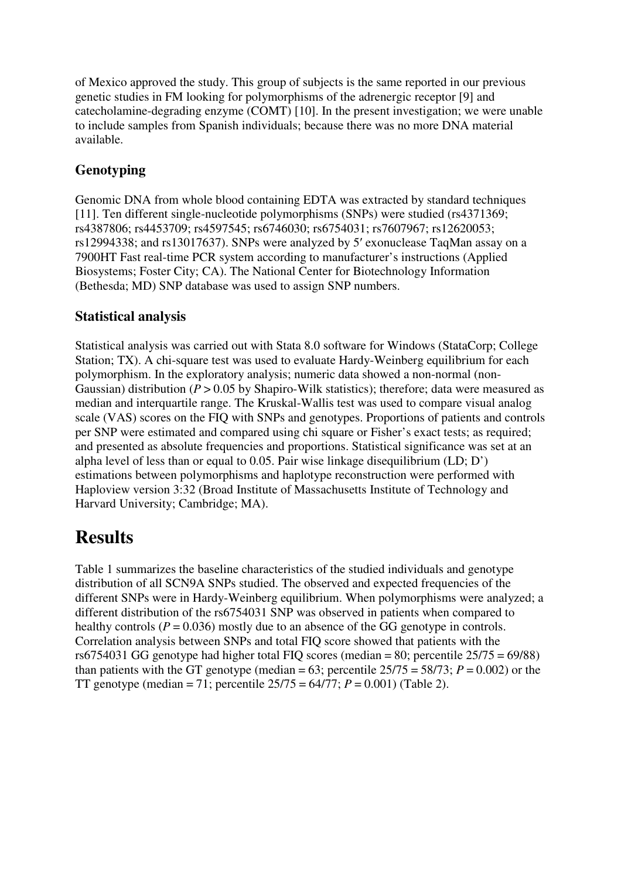of Mexico approved the study. This group of subjects is the same reported in our previous genetic studies in FM looking for polymorphisms of the adrenergic receptor [9] and catecholamine-degrading enzyme (COMT) [10]. In the present investigation; we were unable to include samples from Spanish individuals; because there was no more DNA material available.

### **Genotyping**

Genomic DNA from whole blood containing EDTA was extracted by standard techniques [11]. Ten different single-nucleotide polymorphisms (SNPs) were studied (rs4371369; rs4387806; rs4453709; rs4597545; rs6746030; rs6754031; rs7607967; rs12620053; rs12994338; and rs13017637). SNPs were analyzed by 5′ exonuclease TaqMan assay on a 7900HT Fast real-time PCR system according to manufacturer's instructions (Applied Biosystems; Foster City; CA). The National Center for Biotechnology Information (Bethesda; MD) SNP database was used to assign SNP numbers.

### **Statistical analysis**

Statistical analysis was carried out with Stata 8.0 software for Windows (StataCorp; College Station; TX). A chi-square test was used to evaluate Hardy-Weinberg equilibrium for each polymorphism. In the exploratory analysis; numeric data showed a non-normal (non-Gaussian) distribution (*P* > 0.05 by Shapiro-Wilk statistics); therefore; data were measured as median and interquartile range. The Kruskal-Wallis test was used to compare visual analog scale (VAS) scores on the FIQ with SNPs and genotypes. Proportions of patients and controls per SNP were estimated and compared using chi square or Fisher's exact tests; as required; and presented as absolute frequencies and proportions. Statistical significance was set at an alpha level of less than or equal to 0.05. Pair wise linkage disequilibrium (LD; D') estimations between polymorphisms and haplotype reconstruction were performed with Haploview version 3:32 (Broad Institute of Massachusetts Institute of Technology and Harvard University; Cambridge; MA).

### **Results**

Table 1 summarizes the baseline characteristics of the studied individuals and genotype distribution of all SCN9A SNPs studied. The observed and expected frequencies of the different SNPs were in Hardy-Weinberg equilibrium. When polymorphisms were analyzed; a different distribution of the rs6754031 SNP was observed in patients when compared to healthy controls ( $P = 0.036$ ) mostly due to an absence of the GG genotype in controls. Correlation analysis between SNPs and total FIQ score showed that patients with the rs6754031 GG genotype had higher total FIQ scores (median = 80; percentile  $25/75 = 69/88$ ) than patients with the GT genotype (median =  $63$ ; percentile  $25/75 = 58/73$ ;  $P = 0.002$ ) or the TT genotype (median = 71; percentile 25/75 = 64/77; *P* = 0.001) (Table 2).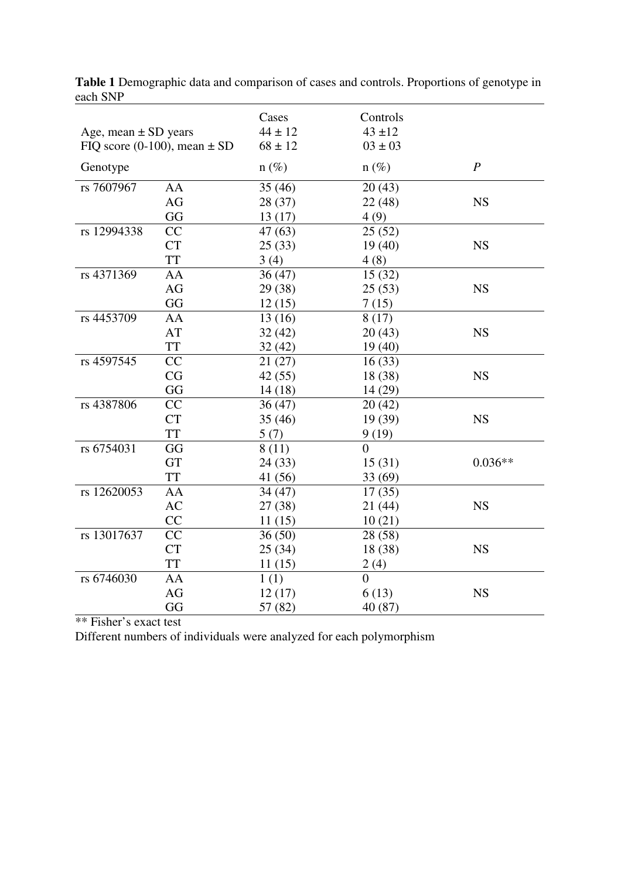|                                  |           | Cases       | Controls       |                  |
|----------------------------------|-----------|-------------|----------------|------------------|
| Age, mean $\pm$ SD years         |           | $44 \pm 12$ | $43 + 12$      |                  |
| FIQ score (0-100), mean $\pm$ SD |           | $68 \pm 12$ | $03 \pm 03$    |                  |
| Genotype                         |           | $n(\%)$     | $n (\%)$       | $\boldsymbol{P}$ |
| rs 7607967                       | AA        | 35(46)      | 20(43)         |                  |
|                                  | AG        | 28 (37)     | 22(48)         | <b>NS</b>        |
|                                  | GG        | 13(17)      | 4(9)           |                  |
| rs 12994338                      | CC        | 47 (63)     | 25(52)         |                  |
|                                  | <b>CT</b> | 25(33)      | 19(40)         | <b>NS</b>        |
|                                  | <b>TT</b> | 3(4)        | 4(8)           |                  |
| rs 4371369                       | AA        | 36(47)      | 15(32)         |                  |
|                                  | AG        | 29 (38)     | 25(53)         | <b>NS</b>        |
|                                  | GG        | 12(15)      | 7(15)          |                  |
| rs 4453709                       | AA        | 13(16)      | 8(17)          |                  |
|                                  | AT        | 32(42)      | 20(43)         | <b>NS</b>        |
|                                  | <b>TT</b> | 32(42)      | 19(40)         |                  |
| rs 4597545                       | CC        | 21(27)      | 16(33)         |                  |
|                                  | CG        | 42(55)      | 18 (38)        | <b>NS</b>        |
|                                  | GG        | 14(18)      | 14(29)         |                  |
| rs 4387806                       | CC        | 36(47)      | 20(42)         |                  |
|                                  | <b>CT</b> | 35(46)      | 19 (39)        | <b>NS</b>        |
|                                  | <b>TT</b> | 5(7)        | 9(19)          |                  |
| rs 6754031                       | GG        | 8(11)       | $\theta$       |                  |
|                                  | <b>GT</b> | 24 (33)     | 15(31)         | $0.036**$        |
|                                  | <b>TT</b> | 41 (56)     | 33(69)         |                  |
| rs 12620053                      | AA        | 34(47)      | 17(35)         |                  |
|                                  | AC        | 27 (38)     | 21(44)         | <b>NS</b>        |
|                                  | CC        | 11(15)      | 10(21)         |                  |
| rs 13017637                      | CC        | 36(50)      | 28 (58)        |                  |
|                                  | <b>CT</b> | 25(34)      | 18 (38)        | <b>NS</b>        |
|                                  | <b>TT</b> | 11(15)      | 2(4)           |                  |
| rs 6746030                       | AA        | 1(1)        | $\overline{0}$ |                  |
|                                  | AG        | 12(17)      | 6(13)          | <b>NS</b>        |
|                                  | GG        | 57 (82)     | 40(87)         |                  |

**Table 1** Demographic data and comparison of cases and controls. Proportions of genotype in each SNP

\*\* Fisher's exact test

Different numbers of individuals were analyzed for each polymorphism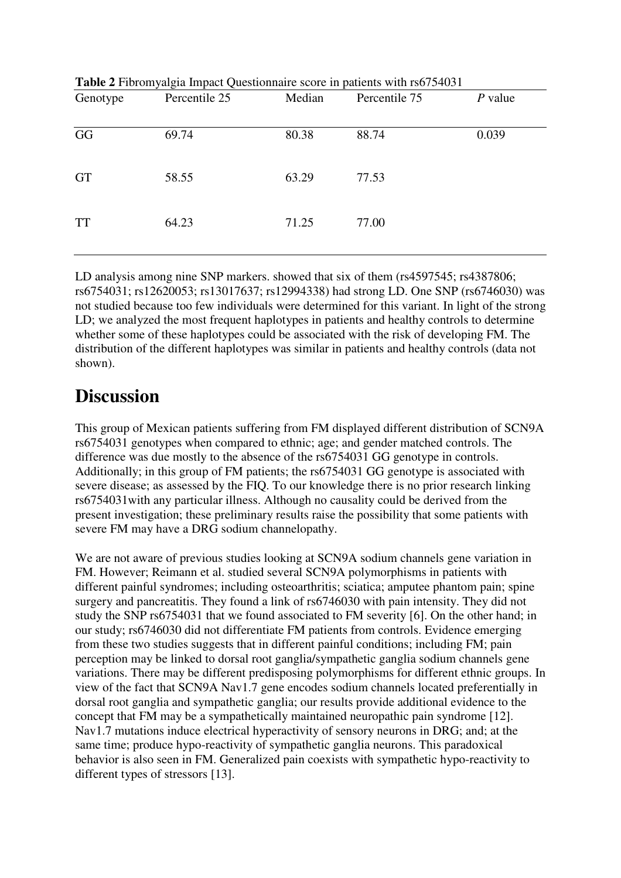| Genotype  | $\overline{\phantom{a}}$<br>and the second second second the second second second second second second second second second second second second second second second second second second second second second second second second second second second<br>Percentile 25 | Median | Percentile 75 | $P$ value |
|-----------|----------------------------------------------------------------------------------------------------------------------------------------------------------------------------------------------------------------------------------------------------------------------------|--------|---------------|-----------|
| GG        | 69.74                                                                                                                                                                                                                                                                      | 80.38  | 88.74         | 0.039     |
| <b>GT</b> | 58.55                                                                                                                                                                                                                                                                      | 63.29  | 77.53         |           |
| <b>TT</b> | 64.23                                                                                                                                                                                                                                                                      | 71.25  | 77.00         |           |
|           |                                                                                                                                                                                                                                                                            |        |               |           |

**Table 2** Fibromyalgia Impact Questionnaire score in patients with rs6754031

LD analysis among nine SNP markers. showed that six of them (rs4597545; rs4387806; rs6754031; rs12620053; rs13017637; rs12994338) had strong LD. One SNP (rs6746030) was not studied because too few individuals were determined for this variant. In light of the strong LD; we analyzed the most frequent haplotypes in patients and healthy controls to determine whether some of these haplotypes could be associated with the risk of developing FM. The distribution of the different haplotypes was similar in patients and healthy controls (data not shown).

### **Discussion**

This group of Mexican patients suffering from FM displayed different distribution of SCN9A rs6754031 genotypes when compared to ethnic; age; and gender matched controls. The difference was due mostly to the absence of the rs6754031 GG genotype in controls. Additionally; in this group of FM patients; the rs6754031 GG genotype is associated with severe disease; as assessed by the FIQ. To our knowledge there is no prior research linking rs6754031with any particular illness. Although no causality could be derived from the present investigation; these preliminary results raise the possibility that some patients with severe FM may have a DRG sodium channelopathy.

We are not aware of previous studies looking at SCN9A sodium channels gene variation in FM. However; Reimann et al. studied several SCN9A polymorphisms in patients with different painful syndromes; including osteoarthritis; sciatica; amputee phantom pain; spine surgery and pancreatitis. They found a link of rs6746030 with pain intensity. They did not study the SNP rs6754031 that we found associated to FM severity [6]. On the other hand; in our study; rs6746030 did not differentiate FM patients from controls. Evidence emerging from these two studies suggests that in different painful conditions; including FM; pain perception may be linked to dorsal root ganglia/sympathetic ganglia sodium channels gene variations. There may be different predisposing polymorphisms for different ethnic groups. In view of the fact that SCN9A Nav1.7 gene encodes sodium channels located preferentially in dorsal root ganglia and sympathetic ganglia; our results provide additional evidence to the concept that FM may be a sympathetically maintained neuropathic pain syndrome [12]. Nav1.7 mutations induce electrical hyperactivity of sensory neurons in DRG; and; at the same time; produce hypo-reactivity of sympathetic ganglia neurons. This paradoxical behavior is also seen in FM. Generalized pain coexists with sympathetic hypo-reactivity to different types of stressors [13].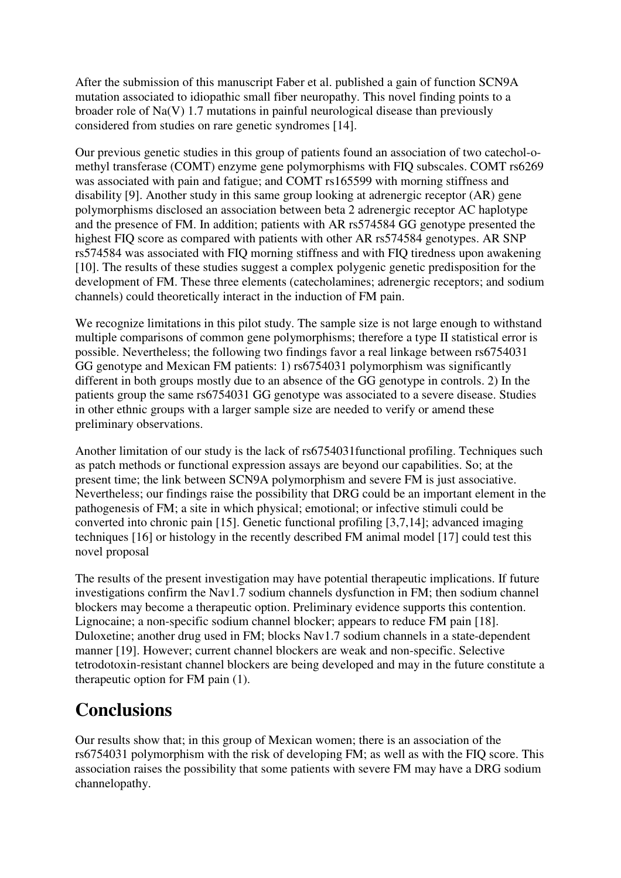After the submission of this manuscript Faber et al. published a gain of function SCN9A mutation associated to idiopathic small fiber neuropathy. This novel finding points to a broader role of  $Na(V)$  1.7 mutations in painful neurological disease than previously considered from studies on rare genetic syndromes [14].

Our previous genetic studies in this group of patients found an association of two catechol-omethyl transferase (COMT) enzyme gene polymorphisms with FIQ subscales. COMT rs6269 was associated with pain and fatigue; and COMT rs165599 with morning stiffness and disability [9]. Another study in this same group looking at adrenergic receptor (AR) gene polymorphisms disclosed an association between beta 2 adrenergic receptor AC haplotype and the presence of FM. In addition; patients with AR rs574584 GG genotype presented the highest FIQ score as compared with patients with other AR rs574584 genotypes. AR SNP rs574584 was associated with FIQ morning stiffness and with FIQ tiredness upon awakening [10]. The results of these studies suggest a complex polygenic genetic predisposition for the development of FM. These three elements (catecholamines; adrenergic receptors; and sodium channels) could theoretically interact in the induction of FM pain.

We recognize limitations in this pilot study. The sample size is not large enough to withstand multiple comparisons of common gene polymorphisms; therefore a type II statistical error is possible. Nevertheless; the following two findings favor a real linkage between rs6754031 GG genotype and Mexican FM patients: 1) rs6754031 polymorphism was significantly different in both groups mostly due to an absence of the GG genotype in controls. 2) In the patients group the same rs6754031 GG genotype was associated to a severe disease. Studies in other ethnic groups with a larger sample size are needed to verify or amend these preliminary observations.

Another limitation of our study is the lack of rs6754031functional profiling. Techniques such as patch methods or functional expression assays are beyond our capabilities. So; at the present time; the link between SCN9A polymorphism and severe FM is just associative. Nevertheless; our findings raise the possibility that DRG could be an important element in the pathogenesis of FM; a site in which physical; emotional; or infective stimuli could be converted into chronic pain [15]. Genetic functional profiling [3,7,14]; advanced imaging techniques [16] or histology in the recently described FM animal model [17] could test this novel proposal

The results of the present investigation may have potential therapeutic implications. If future investigations confirm the Nav1.7 sodium channels dysfunction in FM; then sodium channel blockers may become a therapeutic option. Preliminary evidence supports this contention. Lignocaine; a non-specific sodium channel blocker; appears to reduce FM pain [18]. Duloxetine; another drug used in FM; blocks Nav1.7 sodium channels in a state-dependent manner [19]. However; current channel blockers are weak and non-specific. Selective tetrodotoxin-resistant channel blockers are being developed and may in the future constitute a therapeutic option for FM pain (1).

### **Conclusions**

Our results show that; in this group of Mexican women; there is an association of the rs6754031 polymorphism with the risk of developing FM; as well as with the FIQ score. This association raises the possibility that some patients with severe FM may have a DRG sodium channelopathy.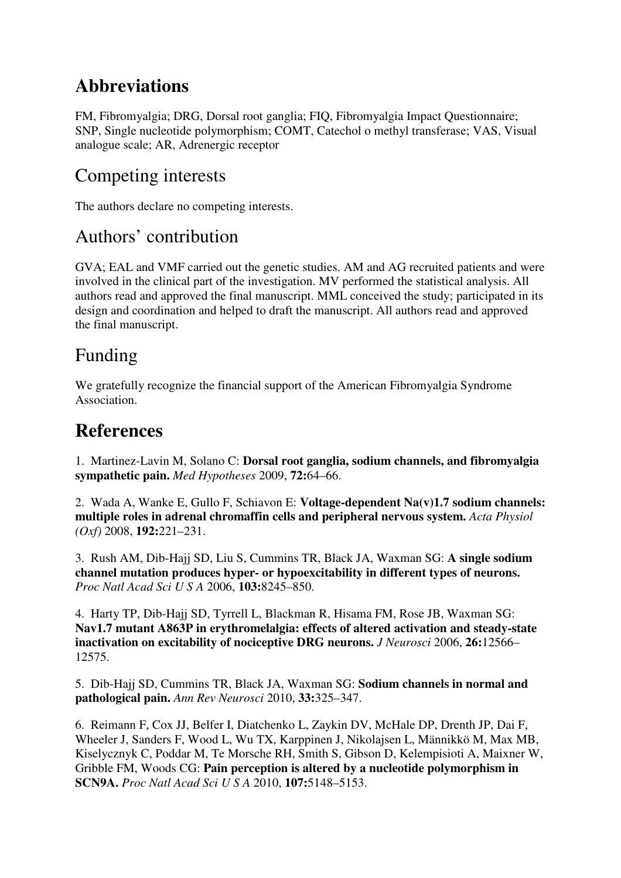## **Abbreviations**

FM, Fibromyalgia; DRG, Dorsal root ganglia; FIQ, Fibromyalgia Impact Questionnaire; SNP, Single nucleotide polymorphism; COMT, Catechol o methyl transferase; VAS, Visual analogue scale; AR, Adrenergic receptor

## Competing interests

The authors declare no competing interests.

## Authors' contribution

GVA; EAL and VMF carried out the genetic studies. AM and AG recruited patients and were involved in the clinical part of the investigation. MV performed the statistical analysis. All authors read and approved the final manuscript. MML conceived the study; participated in its design and coordination and helped to draft the manuscript. All authors read and approved the final manuscript.

## Funding

We gratefully recognize the financial support of the American Fibromyalgia Syndrome Association.

### **References**

1. Martinez-Lavin M, Solano C: **Dorsal root ganglia, sodium channels, and fibromyalgia sympathetic pain.** *Med Hypotheses* 2009, **72:**64–66.

2. Wada A, Wanke E, Gullo F, Schiavon E: **Voltage-dependent Na(v)1.7 sodium channels: multiple roles in adrenal chromaffin cells and peripheral nervous system.** *Acta Physiol (Oxf)* 2008, **192:**221–231.

3. Rush AM, Dib-Hajj SD, Liu S, Cummins TR, Black JA, Waxman SG: **A single sodium channel mutation produces hyper- or hypoexcitability in different types of neurons.** *Proc Natl Acad Sci U S A* 2006, **103:**8245–850.

4. Harty TP, Dib-Hajj SD, Tyrrell L, Blackman R, Hisama FM, Rose JB, Waxman SG: **Nav1.7 mutant A863P in erythromelalgia: effects of altered activation and steady-state inactivation on excitability of nociceptive DRG neurons.** *J Neurosci* 2006, **26:**12566– 12575.

5. Dib-Hajj SD, Cummins TR, Black JA, Waxman SG: **Sodium channels in normal and pathological pain.** *Ann Rev Neurosci* 2010, **33:**325–347.

6. Reimann F, Cox JJ, Belfer I, Diatchenko L, Zaykin DV, McHale DP, Drenth JP, Dai F, Wheeler J, Sanders F, Wood L, Wu TX, Karppinen J, Nikolajsen L, Männikkö M, Max MB, Kiselycznyk C, Poddar M, Te Morsche RH, Smith S, Gibson D, Kelempisioti A, Maixner W, Gribble FM, Woods CG: **Pain perception is altered by a nucleotide polymorphism in SCN9A.** *Proc Natl Acad Sci U S A* 2010, **107:**5148–5153.